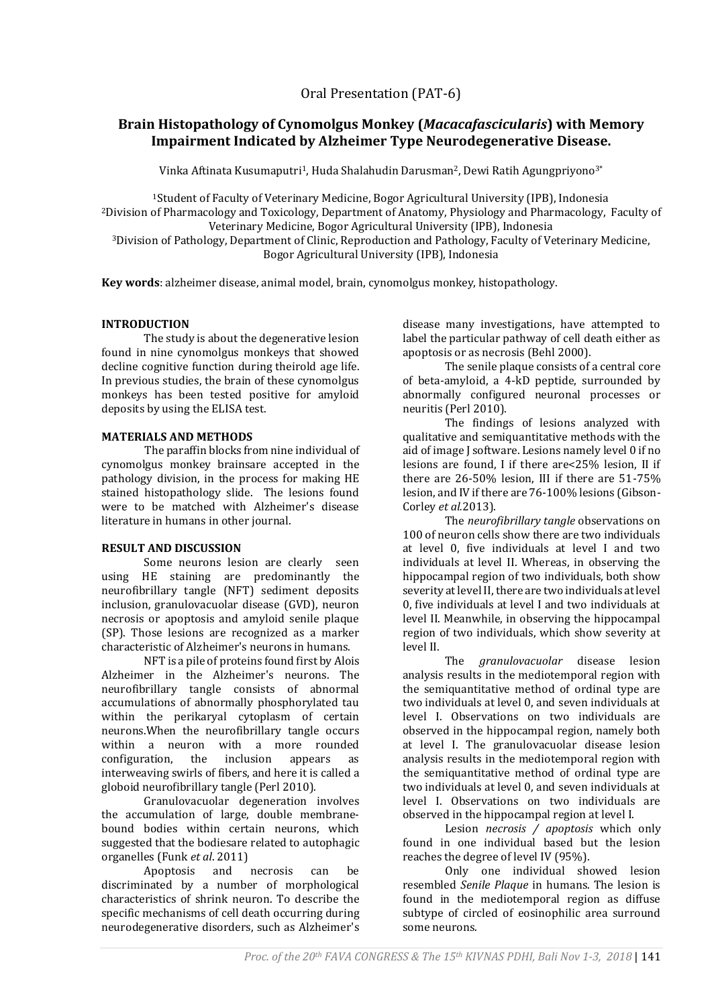Oral Presentation (PAT-6)

# **Brain Histopathology of Cynomolgus Monkey (***Macacafascicularis***) with Memory Impairment Indicated by Alzheimer Type Neurodegenerative Disease.**

Vinka Aftinata Kusumaputri<sup>1</sup>, Huda Shalahudin Darusman<sup>2</sup>, Dewi Ratih Agungpriyono<sup>3\*</sup>

<sup>1</sup>Student of Faculty of Veterinary Medicine, Bogor Agricultural University (IPB), Indonesia <sup>2</sup>Division of Pharmacology and Toxicology, Department of Anatomy, Physiology and Pharmacology, Faculty of Veterinary Medicine, Bogor Agricultural University (IPB), Indonesia

<sup>3</sup>Division of Pathology, Department of Clinic, Reproduction and Pathology, Faculty of Veterinary Medicine, Bogor Agricultural University (IPB), Indonesia

**Key words**: alzheimer disease, animal model, brain, cynomolgus monkey, histopathology.

## **INTRODUCTION**

The study is about the degenerative lesion found in nine cynomolgus monkeys that showed decline cognitive function during theirold age life. In previous studies, the brain of these cynomolgus monkeys has been tested positive for amyloid deposits by using the ELISA test.

### **MATERIALS AND METHODS**

The paraffin blocks from nine individual of cynomolgus monkey brainsare accepted in the pathology division, in the process for making HE stained histopathology slide. The lesions found were to be matched with Alzheimer's disease literature in humans in other journal.

#### **RESULT AND DISCUSSION**

Some neurons lesion are clearly seen using HE staining are predominantly the neurofibrillary tangle (NFT) sediment deposits inclusion, granulovacuolar disease (GVD), neuron necrosis or apoptosis and amyloid senile plaque (SP). Those lesions are recognized as a marker characteristic of Alzheimer's neurons in humans.

NFT is a pile of proteins found first by Alois Alzheimer in the Alzheimer's neurons. The neurofibrillary tangle consists of abnormal accumulations of abnormally phosphorylated tau within the perikaryal cytoplasm of certain neurons.When the neurofibrillary tangle occurs within a neuron with a more rounded configuration, the inclusion appears as interweaving swirls of fibers, and here it is called a globoid neurofibrillary tangle (Perl 2010).

Granulovacuolar degeneration involves the accumulation of large, double membranebound bodies within certain neurons, which suggested that the bodiesare related to autophagic organelles (Funk *et al*. 2011)

Apoptosis and necrosis can be discriminated by a number of morphological characteristics of shrink neuron. To describe the specific mechanisms of cell death occurring during neurodegenerative disorders, such as Alzheimer's

disease many investigations, have attempted to label the particular pathway of cell death either as apoptosis or as necrosis (Behl 2000).

The senile plaque consists of a central core of beta-amyloid, a 4-kD peptide, surrounded by abnormally configured neuronal processes or neuritis (Perl 2010).

The findings of lesions analyzed with qualitative and semiquantitative methods with the aid of image J software. Lesions namely level 0 if no lesions are found, I if there are<25% lesion, II if there are 26-50% lesion, III if there are 51-75% lesion, and IV if there are 76-100% lesions (Gibson-Corley *et al.*2013).

The *neurofibrillary tangle* observations on 100 of neuron cells show there are two individuals at level 0, five individuals at level I and two individuals at level II. Whereas, in observing the hippocampal region of two individuals, both show severity at level II, there are two individuals at level 0, five individuals at level I and two individuals at level II. Meanwhile, in observing the hippocampal region of two individuals, which show severity at level II.

The *granulovacuolar* disease lesion analysis results in the mediotemporal region with the semiquantitative method of ordinal type are two individuals at level 0, and seven individuals at level I. Observations on two individuals are observed in the hippocampal region, namely both at level I. The granulovacuolar disease lesion analysis results in the mediotemporal region with the semiquantitative method of ordinal type are two individuals at level 0, and seven individuals at level I. Observations on two individuals are observed in the hippocampal region at level I.

Lesion *necrosis / apoptosis* which only found in one individual based but the lesion reaches the degree of level IV (95%).

Only one individual showed lesion resembled *Senile Plaque* in humans. The lesion is found in the mediotemporal region as diffuse subtype of circled of eosinophilic area surround some neurons.